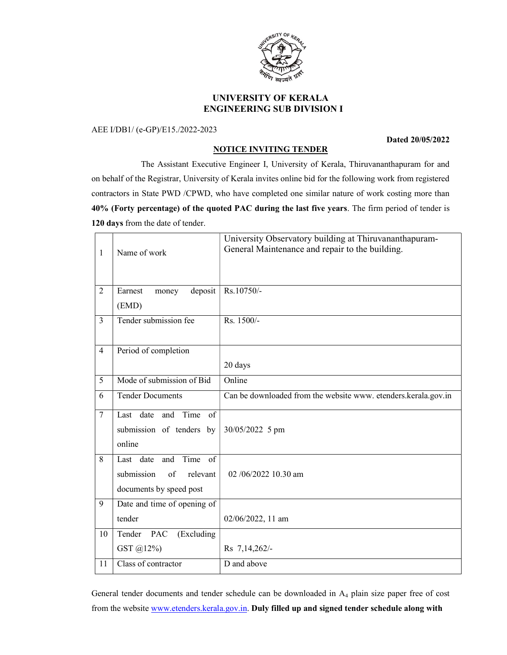

# UNIVERSITY OF KERALA ENGINEERING SUB DIVISION I

### AEE I/DB1/ (e-GP)/E15./2022-2023

### Dated 20/05/2022

# NOTICE INVITING TENDER

 The Assistant Executive Engineer I, University of Kerala, Thiruvananthapuram for and on behalf of the Registrar, University of Kerala invites online bid for the following work from registered contractors in State PWD /CPWD, who have completed one similar nature of work costing more than 40% (Forty percentage) of the quoted PAC during the last five years. The firm period of tender is 120 days from the date of tender.

| $\mathbf{1}$   | Name of work                                                                           | University Observatory building at Thiruvananthapuram-<br>General Maintenance and repair to the building. |
|----------------|----------------------------------------------------------------------------------------|-----------------------------------------------------------------------------------------------------------|
|                |                                                                                        |                                                                                                           |
| $\overline{2}$ | deposit<br>Earnest<br>money                                                            | Rs.10750/-                                                                                                |
|                | (EMD)                                                                                  |                                                                                                           |
| 3              | Tender submission fee                                                                  | Rs. 1500/-                                                                                                |
|                |                                                                                        |                                                                                                           |
| $\overline{4}$ | Period of completion                                                                   |                                                                                                           |
|                |                                                                                        | 20 days                                                                                                   |
| 5              | Mode of submission of Bid                                                              | Online                                                                                                    |
| 6              | <b>Tender Documents</b>                                                                | Can be downloaded from the website www. etenders.kerala.gov.in                                            |
| $\overline{7}$ | Last date and Time of<br>submission of tenders by<br>online                            | 30/05/2022 5 pm                                                                                           |
| 8              | Time of<br>Last date<br>and<br>submission<br>of<br>relevant<br>documents by speed post | $02/06/2022$ 10.30 am                                                                                     |
| 9              | Date and time of opening of                                                            |                                                                                                           |
|                | tender                                                                                 | 02/06/2022, 11 am                                                                                         |
| 10             | Tender PAC<br>(Excluding                                                               |                                                                                                           |
|                | GST @12%)                                                                              | Rs 7,14,262/-                                                                                             |
| 11             | Class of contractor                                                                    | D and above                                                                                               |

General tender documents and tender schedule can be downloaded in A<sub>4</sub> plain size paper free of cost from the website www.etenders.kerala.gov.in. Duly filled up and signed tender schedule along with